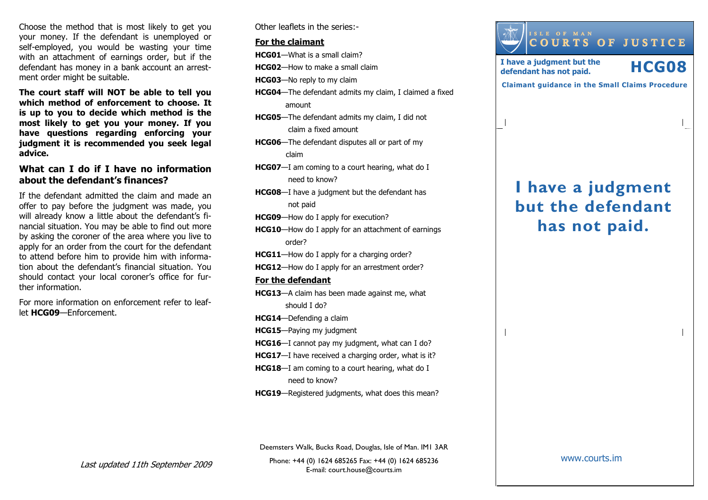Choose the method that is most likely to get you your money. If the defendant is unemployed or self-employed, you would be wasting your time with an attachment of earnings order, but if the defendant has money in a bank account an arrestment order might be suitable.

The court staff will NOT be able to tell you which method of enforcement to choose. It is up to you to decide which method is the most likely to get you your money. If you have questions regarding enforcing your judgment it is recommended you seek legal advice.

# What can I do if I have no information about the defendant's finances?

If the defendant admitted the claim and made an offer to pay before the judgment was made, you will already know a little about the defendant's fi nancial situation. You may be able to find out more by asking the coroner of the area where you live to apply for an order from the court for the defendant to attend before him to provide him with information about the defendant's financial situation. You should contact your local coroner's office for further information.

For more information on enforcement refer to leaflet HCG09—Enforcement.

Other leaflets in the series:-

#### For the claimant

HCG01—What is a small claim?

HCG02—How to make a small claim

HCG03—No reply to my claim

- HCG04—The defendant admits my claim, I claimed a fixed amount
- HCG05—The defendant admits my claim, I did not claim a fixed amount
- HCG06—The defendant disputes all or part of my claim
- HCG07—I am coming to a court hearing, what do I need to know?
- **HCG08**—I have a judgment but the defendant has not paid
- HCG09—How do I apply for execution?
- HCG10—How do I apply for an attachment of earnings order?
- HCG11—How do I apply for a charging order?
- HCG12—How do I apply for an arrestment order?

#### For the defendant

- HCG13—A claim has been made against me, what should I do?
- HCG14—Defending a claim
- HCG15—Paying my judgment
- HCG16—I cannot pay my judgment, what can I do?
- HCG17-I have received a charging order, what is it?
- HCG18—I am coming to a court hearing, what do I need to know?
- HCG19—Registered judgments, what does this mean?

Deemsters Walk, Bucks Road, Douglas, Isle of Man. IM1 3AR

Phone: +44 (0) 1624 685265 Fax: +44 (0) 1624 685236E-mail: court.house@courts.im